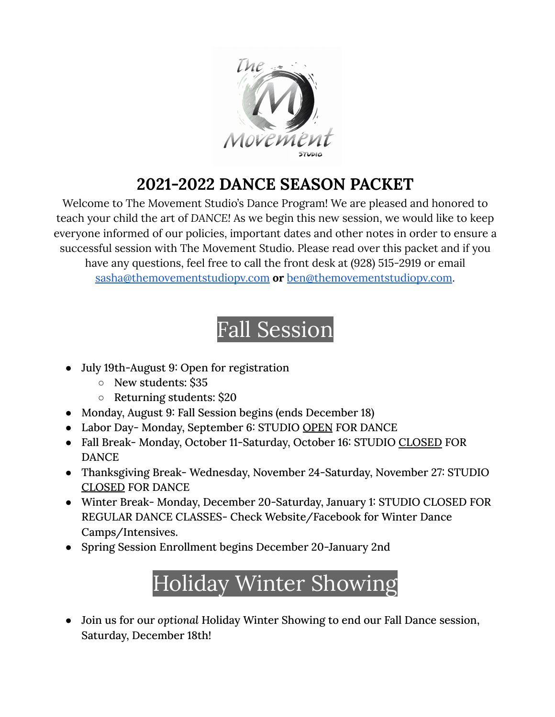

#### **2021-2022 DANCE SEASON PACKET**

Welcome to The Movement Studio's Dance Program! We are pleased and honored to teach your child the art of *DANCE!* As we begin this new session, we would like to keep everyone informed of our policies, important dates and other notes in order to ensure a successful session with The Movement Studio. Please read over this packet and if you have any questions, feel free to call the front desk at (928) 515-2919 or email [sasha@themovementstudiopv.com](mailto:sasha@themovementstudiopv.com) **or** [ben@themovementstudiopv.com](mailto:ben@themovementstudiopv.com).

## Fall Session

- July 19th-August 9: Open for registration
	- New students: \$35
	- Returning students: \$20
- Monday, August 9: Fall Session begins (ends December 18)
- Labor Day- Monday, September 6: STUDIO OPEN FOR DANCE
- Fall Break- Monday, October 11-Saturday, October 16: STUDIO CLOSED FOR DANCE
- Thanksgiving Break- Wednesday, November 24-Saturday, November 27: STUDIO CLOSED FOR DANCE
- Winter Break- Monday, December 20-Saturday, January 1: STUDIO CLOSED FOR REGULAR DANCE CLASSES- Check Website/Facebook for Winter Dance Camps/Intensives.
- Spring Session Enrollment begins December 20-January 2nd

# Holiday Winter Showing

● Join us for our *optional* Holiday Winter Showing to end our Fall Dance session, Saturday, December 18th!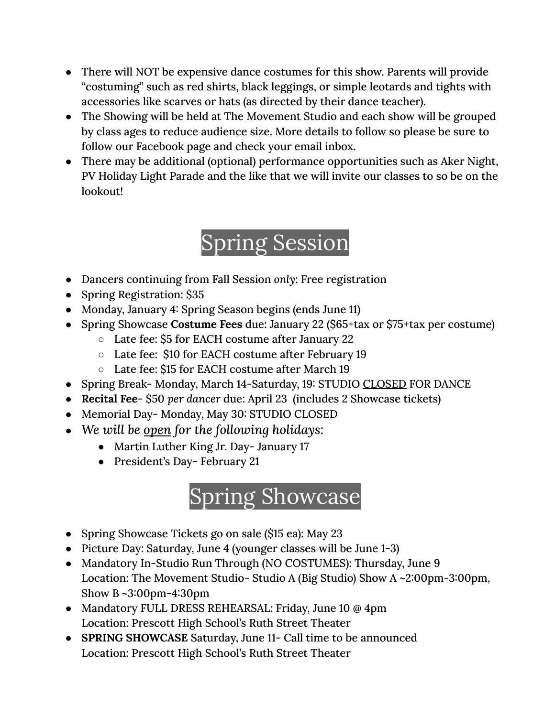- There will NOT be expensive dance costumes for this show. Parents will provide "costuming" such as red shirts, black leggings, or simple leotards and tights with accessories like scarves or hats (as directed by their dance teacher).
- The Showing will be held at The Movement Studio and each show will be grouped by class ages to reduce audience size. More details to follow so please be sure to follow our Facebook page and check your email inbox.
- There may be additional (optional) performance opportunities such as Aker Night, PV Holiday Light Parade and the like that we will invite our classes to so be on the lookout!

## Spring Session

- Dancers continuing from Fall Session *only*: Free registration
- Spring Registration: \$35
- Monday, January 4: Spring Season begins (ends June 11)
- Spring Showcase **Costume Fees** due: January 22 (\$65+tax or \$75+tax per costume)
	- Late fee: \$5 for EACH costume after January 22
	- Late fee: \$10 for EACH costume after February 19
	- Late fee: \$15 for EACH costume after March 19
- Spring Break- Monday, March 14-Saturday, 19: STUDIO CLOSED FOR DANCE
- **Recital Fee** \$50 *per dancer* due: April 23 (includes 2 Showcase tickets)
- Memorial Day-Monday, May 30: STUDIO CLOSED
- *We will be open for the following holidays:*
	- Martin Luther King Jr. Day- January 17
	- President's Day- February 21

## Spring Showcase

- Spring Showcase Tickets go on sale (\$15 ea): May 23
- Picture Day: Saturday, June 4 (younger classes will be June 1-3)
- Mandatory In-Studio Run Through (NO COSTUMES): Thursday, June 9 Location: The Movement Studio- Studio A (Big Studio) Show A ~2:00pm-3:00pm, Show B ~3:00pm-4:30pm
- Mandatory FULL DRESS REHEARSAL: Friday, June 10 @ 4pm Location: Prescott High School's Ruth Street Theater
- **SPRING SHOWCASE** Saturday, June 11- Call time to be announced Location: Prescott High School's Ruth Street Theater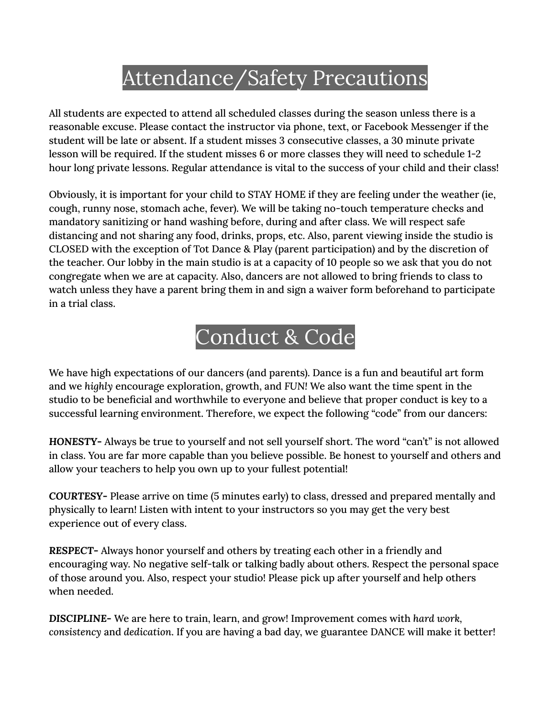#### Attendance/Safety Precautions

All students are expected to attend all scheduled classes during the season unless there is a reasonable excuse. Please contact the instructor via phone, text, or Facebook Messenger if the student will be late or absent. If a student misses 3 consecutive classes, a 30 minute private lesson will be required. If the student misses 6 or more classes they will need to schedule 1-2 hour long private lessons. Regular attendance is vital to the success of your child and their class!

Obviously, it is important for your child to STAY HOME if they are feeling under the weather (ie, cough, runny nose, stomach ache, fever). We will be taking no-touch temperature checks and mandatory sanitizing or hand washing before, during and after class. We will respect safe distancing and not sharing any food, drinks, props, etc. Also, parent viewing inside the studio is CLOSED with the exception of Tot Dance & Play (parent participation) and by the discretion of the teacher. Our lobby in the main studio is at a capacity of 10 people so we ask that you do not congregate when we are at capacity. Also, dancers are not allowed to bring friends to class to watch unless they have a parent bring them in and sign a waiver form beforehand to participate in a trial class.

#### Conduct & Code

We have high expectations of our dancers (and parents). Dance is a fun and beautiful art form and we *highly* encourage exploration, growth, and *FUN!* We also want the time spent in the studio to be beneficial and worthwhile to everyone and believe that proper conduct is key to a successful learning environment. Therefore, we expect the following "code" from our dancers:

*HONESTY***-** Always be true to yourself and not sell yourself short. The word "can't" is not allowed in class. You are far more capable than you believe possible. Be honest to yourself and others and allow your teachers to help you own up to your fullest potential!

*COURTESY***-** Please arrive on time (5 minutes early) to class, dressed and prepared mentally and physically to learn! Listen with intent to your instructors so you may get the very best experience out of every class.

*RESPECT***-** Always honor yourself and others by treating each other in a friendly and encouraging way. No negative self-talk or talking badly about others. Respect the personal space of those around you. Also, respect your studio! Please pick up after yourself and help others when needed.

*DISCIPLINE***-** We are here to train, learn, and grow! Improvement comes with *hard work, consistency* and *dedication*. If you are having a bad day, we guarantee DANCE will make it better!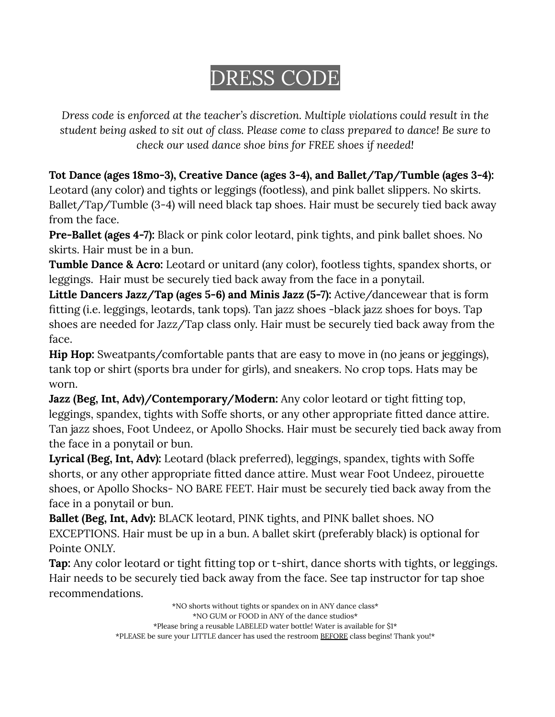## DRESS CODE

*Dress code is enforced at the teacher's discretion. Multiple violations could result in the student being asked to sit out of class. Please come to class prepared to dance! Be sure to check our used dance shoe bins for FREE shoes if needed!*

**Tot Dance (ages 18mo-3), Creative Dance (ages 3-4), and Ballet/Tap/Tumble (ages 3-4):** Leotard (any color) and tights or leggings (footless), and pink ballet slippers. No skirts. Ballet/Tap/Tumble (3-4) will need black tap shoes. Hair must be securely tied back away from the face.

**Pre-Ballet (ages 4-7):** Black or pink color leotard, pink tights, and pink ballet shoes. No skirts. Hair must be in a bun.

**Tumble Dance & Acro:** Leotard or unitard (any color), footless tights, spandex shorts, or leggings. Hair must be securely tied back away from the face in a ponytail.

**Little Dancers Jazz/Tap (ages 5-6) and Minis Jazz (5-7):** Active/dancewear that is form fitting (i.e. leggings, leotards, tank tops). Tan jazz shoes -black jazz shoes for boys. Tap shoes are needed for Jazz/Tap class only. Hair must be securely tied back away from the face.

**Hip Hop:** Sweatpants/comfortable pants that are easy to move in (no jeans or jeggings), tank top or shirt (sports bra under for girls), and sneakers. No crop tops. Hats may be worn.

**Jazz (Beg, Int, Adv)/Contemporary/Modern:** Any color leotard or tight fitting top, leggings, spandex, tights with Soffe shorts, or any other appropriate fitted dance attire. Tan jazz shoes, Foot Undeez, or Apollo Shocks. Hair must be securely tied back away from the face in a ponytail or bun.

**Lyrical (Beg, Int, Adv):** Leotard (black preferred), leggings, spandex, tights with Soffe shorts, or any other appropriate fitted dance attire. Must wear Foot Undeez, pirouette shoes, or Apollo Shocks- NO BARE FEET. Hair must be securely tied back away from the face in a ponytail or bun.

**Ballet (Beg, Int, Adv):** BLACK leotard, PINK tights, and PINK ballet shoes. NO EXCEPTIONS. Hair must be up in a bun. A ballet skirt (preferably black) is optional for Pointe ONLY.

**Tap:** Any color leotard or tight fitting top or t-shirt, dance shorts with tights, or leggings. Hair needs to be securely tied back away from the face. See tap instructor for tap shoe recommendations.

> \*NO shorts without tights or spandex on in ANY dance class\* \*NO GUM or FOOD in ANY of the dance studios\* \*Please bring a reusable LABELED water bottle! Water is available for \$1\* \*PLEASE be sure your LITTLE dancer has used the restroom BEFORE class begins! Thank you!\*